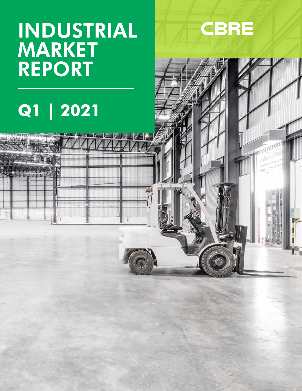## INDUSTRIAL **MARKET** REPORT



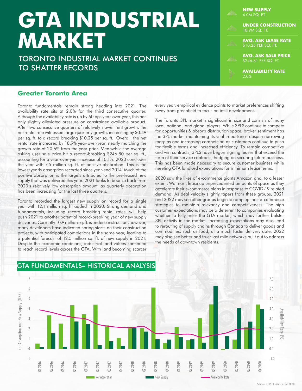# **GTA INDUSTRIAL MARKET**

TORONTO INDUSTRIAL MARKET CONTINUES TO SHATTER RECORDS

| <b>NEW SUPPLY</b><br>4.0M SQ. FT.                  |
|----------------------------------------------------|
| <b>UNDER CONSTRUCTION</b><br>10.9M SQ. FT.         |
| <b>AVG. ASK LEASE RATE</b><br>\$10.25 PER SQ. FT.  |
| <b>AVG. ASK SALE PRICE</b><br>\$246.81 PER SQ. FT. |
| <b>AVAILABILITY RATE</b><br>2.0%                   |

#### **Greater Toronto Area**

Toronto fundamentals remain strong heading into 2021. The availability rate sits at 2.0% for the third consecutive quarter. Although the availability rate is up by 60 bps year-over-year, this has only slightly alleviated pressure on constrained available product. After two consecutive quarters of relatively slower rent growth, the net rental rate witnessed large quarterly growth, increasing by \$0.49 per sq. ft. to a record breaking \$10.25 per sq. ft. Overall, the net rental rate increased by 18.9% year-over-year, nearly matching the growth rate of 20.6% from the year prior. Meanwhile the average asking user sale price hit a record-breaking \$246.80 per sq. ft., accounting for a year-over-year increase of 10.1%. 2020 concludes the year with 7.5 million sq. ft. of positive absorption. This is the lowest yearly absorption recorded since year-end 2014. Much of the positive absorption is the largely attributed to the pre-leased new supply that was delivered this year. 2021 looks to bounce back from 2020's relatively low absorption amount, as quarterly absorption has been increasing for the last three quarters.

Toronto recorded the largest new supply on record for a single year with 12.1 million sq. ft. added in 2020. Strong demand and fundamentals, including record breaking rental rates, will help push 2021 to another potential record-breaking year of new supply deliveries. Currently 10.9 million sq. ft. is under construction, however, many developers have indicated spring starts on their construction projects, with anticipated completions in the same year, leading to a potential forecast of 12.5 million sq. ft. of new supply in 2021. Despite the economic conditions, industrial land values continued to reach record levels across the GTA. With land becoming scarcer

every year, empirical evidence points to market preferences shifting away from greenfield to focus on infill development.

The Toronto 3PL market is significant in size and consists of many local, national, and global players. While 3PLS continue to compete for opportunities & absorb distribution space, broker sentiment has the 3PL market maintaining its vital importance despite narrowing margins and increasing competition as customers continue to push for flexible terms and increased efficiency. To remain competitive and win contracts, 3PLS have begun signing leases that exceed the term of their service contracts, hedging on securing future business. This has been made necessary to secure customer business while meeting GTA landlord expectations for minimum lease terms.

2020 saw the likes of e-commerce giants Amazon and, to a lesser extent, Walmart, lease up unprecedented amounts of space as they accelerate their e-commerce plans in response to COVID-19 related demand. As deal velocity slightly tapers from these groups, 2021 and 2022 may see other groups begin to ramp up their e-commerce strategies to maintain relevancy and competitiveness. The high customer expectations may be a deterrent to companies evaluating whether to fully enter the GTA market, which may further bolster 3PL activity in the market. Increasing expectations may also lead to rerouting of supply chains through Canada to deliver goods and commodities, such as food, at a much faster delivery date. 2022 may also see better and truer last mile networks built out to address the needs of downtown residents.



#### GTA FUNDAMENTALS– HISTORICAL ANALYSIS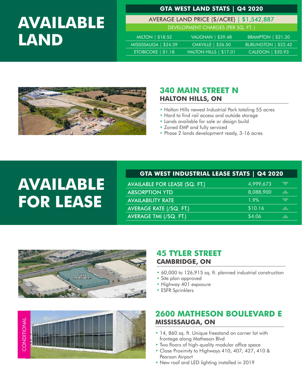### **AVAILABLE LAND**

#### **GTA WEST LAND STATS | Q4 2020**

AVERAGE LAND PRICE (\$/ACRE) | \$1,542,887

DEVELOPMENT CHARGES (PER SQ. FT. )

| <b>MILTON</b>   \$18.52 | <b>VAUGHAN   \$39.48</b>  | <b>BRAMPTON   \$21.20</b> |
|-------------------------|---------------------------|---------------------------|
| MISSISSAUGA   \$24.39   | <b>OAKVILLE</b>   \$26.50 | BURLINGTON   \$22.42      |
| ETOBICOKE $  $1.18$     | HALTON HILLS   \$17.01    | $CALEDON$ $\sqrt{320.93}$ |



#### **340 MAIN STREET N HALTON HILLS, ON**

- Halton Hills newest Industrial Park totaling 55 acres
- Hard to find rail access and outside storage
- Lands available for sale or design build
- Zoned EMP and fully serviced
- Phase 2 lands development ready, 3-16 acres

### **AVAILABLE FOR LEASE**

#### **GTA WEST INDUSTRIAL LEASE STATS | Q4 2020**

| <b>AVAILABLE FOR LEASE (SQ. FT.)</b> | 4,999,673 | q      |
|--------------------------------------|-----------|--------|
| <b>ABSORPTION YTD</b>                | 8,088,900 | .:iii  |
| <b>AVAILABILITY RATE</b>             | 1.9%      | wp:    |
| <b>AVERAGE RATE (/SQ. FT.)</b>       | \$10.16   | dia.   |
| AVERAGE TMI (/SQ. FT.)               | \$4.06    | .:iii. |





#### **45 TYLER STREET CAMBRIDGE, ON**

- 60,000 to 126,915 sq. ft. planned industrial construction
- Site plan approved
- Highway 401 exposure
- ESFR Sprinklers

#### **2600 MATHESON BOULEVARD E MISSISSAUGA, ON**

- 14, 860 sq. ft. Unique freestand on corner lot with frontage along Matheson Blvd
- Two floors of high-quality modular office space
- Close Proximity to Highways 410, 407, 427, 410 & Pearson Airport
- New roof and LED lighting installed in 2019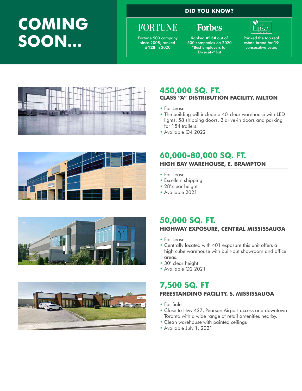### **COMING SOON...**

**DID YOU KNOW?**

**Forbes** 

### **FORTUNE**

Fortune 500 company since 2008; ranked **#128** in 2020

Ranked **#154** out of 500 companies on 2020 "Best Employers for Diversity" list

Ranked the top real estate brand for **19**  consecutive years

<u>Lipsey</u>







#### **450,000 SQ. FT. CLASS "A" DISTRIBUTION FACILITY, MILTON**

- For Lease
- The building will include a 40' clear warehouse with LED lights, 58 shipping doors, 2 drive-in doors and parking for 154 trailers.
- Available Q4 2022

#### **60,000-80,000 SQ. FT. HIGH BAY WAREHOUSE, E. BRAMPTON**

- For Lease
- Excellent shipping
- 28' clear height
- Available 2021

#### **50,000 SQ. FT. HIGHWAY EXPOSURE, CENTRAL MISSISSAUGA**

- For Lease
- Centrally located with 401 exposure this unit offers a high cube warehouse with built-out showroom and office areas.
- 30' clear height
- Available Q2 2021

#### **7,500 SQ. FT FREESTANDING FACILITY, S. MISSISSAUGA**

- For Sale
- Close to Hwy 427, Pearson Airport access and downtown Toronto with a wide range of retail amenities nearby.
- Clean warehouse with painted ceilings
- Available July 1, 2021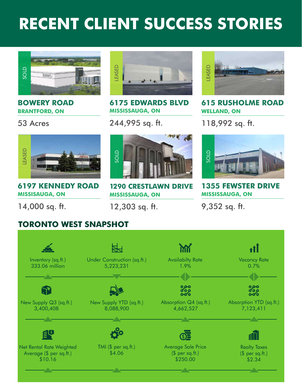### **RECENT CLIENT SUCCESS STORIES**



#### **BOWERY ROAD BRANTFORD, ON**

#### 53 Acres



**6175 EDWARDS BLVD MISSISSAUGA, ON**

244,995 sq. ft.



**615 RUSHOLME ROAD WELLAND, ON**

118,992 sq. ft.



**6197 KENNEDY ROAD MISSISAUGA, ON**

14,000 sq. ft.



**1290 CRESTLAWN DRIVE MISSISSAUGA, ON**

12,303 sq. ft.



**1355 FEWSTER DRIVE MISSISSAUGA, ON**

9,352 sq. ft.

#### **TORONTO WEST SNAPSHOT**